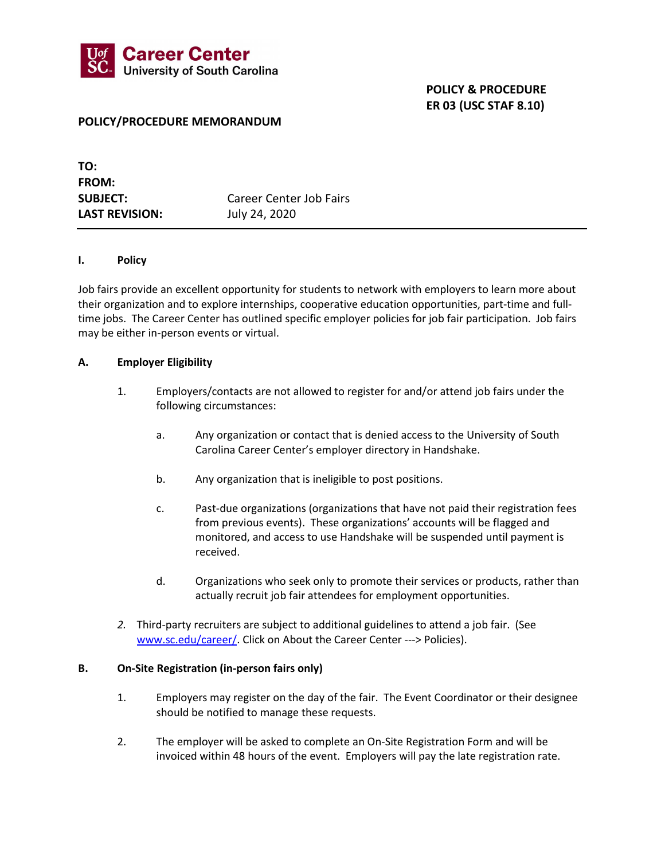

## POLICY & PROCEDURE ER 03 (USC STAF 8.10)

## POLICY/PROCEDURE MEMORANDUM

| TO:                   |                         |
|-----------------------|-------------------------|
| <b>FROM:</b>          |                         |
| <b>SUBJECT:</b>       | Career Center Job Fairs |
| <b>LAST REVISION:</b> | July 24, 2020           |

#### I. Policy

I

Job fairs provide an excellent opportunity for students to network with employers to learn more about their organization and to explore internships, cooperative education opportunities, part-time and fulltime jobs. The Career Center has outlined specific employer policies for job fair participation. Job fairs may be either in-person events or virtual.

#### A. Employer Eligibility

- 1. Employers/contacts are not allowed to register for and/or attend job fairs under the following circumstances:
	- a. Any organization or contact that is denied access to the University of South Carolina Career Center's employer directory in Handshake.
	- b. Any organization that is ineligible to post positions.
	- c. Past-due organizations (organizations that have not paid their registration fees from previous events). These organizations' accounts will be flagged and monitored, and access to use Handshake will be suspended until payment is received.
	- d. Organizations who seek only to promote their services or products, rather than actually recruit job fair attendees for employment opportunities.
- 2. Third-party recruiters are subject to additional guidelines to attend a job fair. (See www.sc.edu/career/. Click on About the Career Center ---> Policies).

#### B. On-Site Registration (in-person fairs only)

- 1. Employers may register on the day of the fair. The Event Coordinator or their designee should be notified to manage these requests.
- 2. The employer will be asked to complete an On-Site Registration Form and will be invoiced within 48 hours of the event. Employers will pay the late registration rate.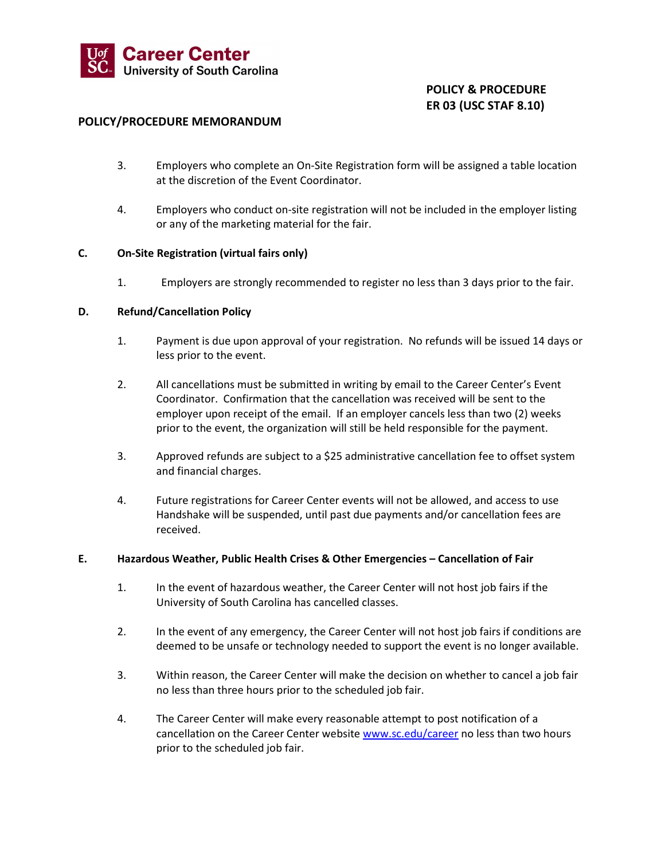

# POLICY & PROCEDURE ER 03 (USC STAF 8.10)

## POLICY/PROCEDURE MEMORANDUM

- 3. Employers who complete an On-Site Registration form will be assigned a table location at the discretion of the Event Coordinator.
- 4. Employers who conduct on-site registration will not be included in the employer listing or any of the marketing material for the fair.

## C. On-Site Registration (virtual fairs only)

1. Employers are strongly recommended to register no less than 3 days prior to the fair.

#### D. Refund/Cancellation Policy

- 1. Payment is due upon approval of your registration. No refunds will be issued 14 days or less prior to the event.
- 2. All cancellations must be submitted in writing by email to the Career Center's Event Coordinator. Confirmation that the cancellation was received will be sent to the employer upon receipt of the email. If an employer cancels less than two (2) weeks prior to the event, the organization will still be held responsible for the payment.
- 3. Approved refunds are subject to a \$25 administrative cancellation fee to offset system and financial charges.
- 4. Future registrations for Career Center events will not be allowed, and access to use Handshake will be suspended, until past due payments and/or cancellation fees are received.

## E. Hazardous Weather, Public Health Crises & Other Emergencies – Cancellation of Fair

- 1. In the event of hazardous weather, the Career Center will not host job fairs if the University of South Carolina has cancelled classes.
- 2. In the event of any emergency, the Career Center will not host job fairs if conditions are deemed to be unsafe or technology needed to support the event is no longer available.
- 3. Within reason, the Career Center will make the decision on whether to cancel a job fair no less than three hours prior to the scheduled job fair.
- 4. The Career Center will make every reasonable attempt to post notification of a cancellation on the Career Center website www.sc.edu/career no less than two hours prior to the scheduled job fair.